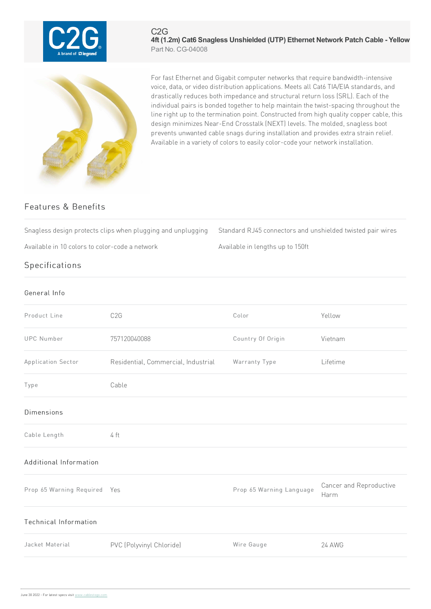

## C2G **4ft (1.2m) Cat6 Snagless Unshielded (UTP) Ethernet Network Patch Cable - Yellow** Part No. CG-04008



For fast Ethernet and Gigabit computer networks that require bandwidth-intensive voice, data, or video distribution applications. Meets all Cat6 TIA/EIA standards, and drastically reduces both impedance and structural return loss (SRL). Each of the individual pairs is bonded together to help maintain the twist-spacing throughout the line right up to the termination point. Constructed from high quality copper cable, this design minimizes Near-End Crosstalk (NEXT) levels. The molded, snagless boot prevents unwanted cable snags during installation and provides extra strain relief. Available in a variety of colors to easily color-code your network installation.

## Features & Benefits

Snagless design protects clips when plugging and unplugging Standard RJ45 connectors and unshielded twisted pair wires

Available in 10 colors to color-code a network Available in lengths up to 150ft

**Specifications** 

| General Info                 |                                     |                          |                                 |
|------------------------------|-------------------------------------|--------------------------|---------------------------------|
| Product Line                 | C <sub>2</sub> G                    | Color                    | Yellow                          |
| <b>UPC Number</b>            | 757120040088                        | Country Of Origin        | Vietnam                         |
| Application Sector           | Residential, Commercial, Industrial | Warranty Type            | Lifetime                        |
| Type                         | Cable                               |                          |                                 |
| <b>Dimensions</b>            |                                     |                          |                                 |
| Cable Length                 | 4 ft                                |                          |                                 |
| Additional Information       |                                     |                          |                                 |
| Prop 65 Warning Required Yes |                                     | Prop 65 Warning Language | Cancer and Reproductive<br>Harm |
| Technical Information        |                                     |                          |                                 |
| Jacket Material              | PVC (Polyvinyl Chloride)            | Wire Gauge               | 24 AWG                          |
|                              |                                     |                          |                                 |